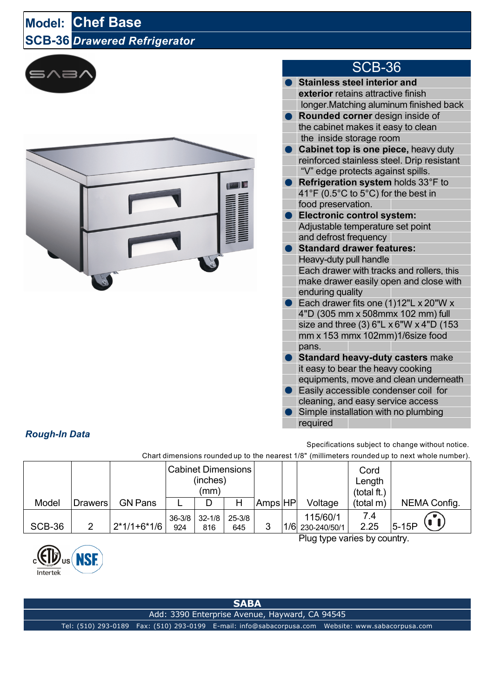## **Model: Chef Base SCB-36** *Drawered Refrigerator*





## SCB-36

- **Stainless steel interior and exterior** retains attractive finish longer.Matching aluminum finished back ● **Rounded corner** design inside of the cabinet makes it easy to clean the inside storage room ● **Cabinet top is one piece,** heavy duty reinforced stainless steel. Drip resistant "V" edge protects against spills. ● **Refrigeration system** holds 33°F to 41°F (0.5°C to 5°C) for the best in food preservation. ● **Electronic control system:** Adjustable temperature set point and defrost frequency ● **Standard drawer features:** Heavy-duty pull handle Each drawer with tracks and rollers, this make drawer easily open and close with enduring quality ● Each drawer fits one (1)12"L x 20"W x 4"D (305 mm x 508mmx 102 mm) full size and three (3)  $6"L \times 6"W \times 4"D$  (153) mm x 153 mmx 102mm)1/6size food pans. **Standard heavy-duty casters** make it easy to bear the heavy cooking equipments, move and clean underneath Easily accessible condenser coil for cleaning, and easy service access
- Simple installation with no plumbing required

## *Rough-In Data*

Specifications subject to change without notice. ct 1/8" (millimeters rounded up to next whole number)

| Criterial differentiations founded up to the nearest 176 (imminited is founded up to next whole number). |                              |                |                                               |                   |               |         |  |                              |                               |              |
|----------------------------------------------------------------------------------------------------------|------------------------------|----------------|-----------------------------------------------|-------------------|---------------|---------|--|------------------------------|-------------------------------|--------------|
|                                                                                                          |                              |                | <b>Cabinet Dimensions</b><br>(inches)<br>(mm) |                   |               |         |  |                              | Cord<br>Length<br>(total ft.) |              |
| Model                                                                                                    | <b>Drawers</b>               | <b>GN Pans</b> |                                               |                   | Н             | Amps HP |  | Voltage                      | (total m)                     | NEMA Config. |
| SCB-36                                                                                                   | 2                            | $2*1/1+6*1/6$  | $36 - 3/8$<br>924                             | $32 - 1/8$<br>816 | 25-3/8<br>645 | 3       |  | 115/60/1<br>1/6 230-240/50/1 | 7.4<br>2.25                   | U<br>$5-15P$ |
|                                                                                                          | Plug type varies by country. |                |                                               |                   |               |         |  |                              |                               |              |



**SABA**

Add: 3390 Enterprise Avenue, Hayward, CA 94545

Tel: (510) 293-0189 Fax: (510) 293-0199 E-mail: info@sabacorpusa.com Website: www.sabacorpusa.com